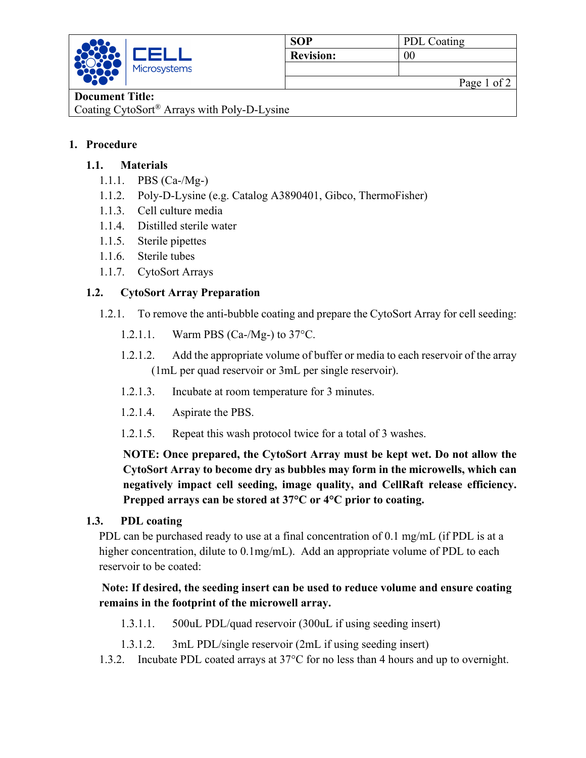

## **Document Title:**

Coating CytoSort® Arrays with Poly-D-Lysine

### **1. Procedure**

### **1.1. Materials**

- 1.1.1. PBS (Ca-/Mg-)
- 1.1.2. Poly-D-Lysine (e.g. Catalog A3890401, Gibco, ThermoFisher)
- 1.1.3. Cell culture media
- 1.1.4. Distilled sterile water
- 1.1.5. Sterile pipettes
- 1.1.6. Sterile tubes
- 1.1.7. CytoSort Arrays

## **1.2. CytoSort Array Preparation**

- 1.2.1. To remove the anti-bubble coating and prepare the CytoSort Array for cell seeding:
	- 1.2.1.1. Warm PBS (Ca-/Mg-) to 37°C.
	- 1.2.1.2. Add the appropriate volume of buffer or media to each reservoir of the array (1mL per quad reservoir or 3mL per single reservoir).
	- 1.2.1.3. Incubate at room temperature for 3 minutes.
	- 1.2.1.4. Aspirate the PBS.
	- 1.2.1.5. Repeat this wash protocol twice for a total of 3 washes.

**NOTE: Once prepared, the CytoSort Array must be kept wet. Do not allow the CytoSort Array to become dry as bubbles may form in the microwells, which can negatively impact cell seeding, image quality, and CellRaft release efficiency. Prepped arrays can be stored at 37°C or 4°C prior to coating.**

#### **1.3. PDL coating**

PDL can be purchased ready to use at a final concentration of 0.1 mg/mL (if PDL is at a higher concentration, dilute to 0.1mg/mL). Add an appropriate volume of PDL to each reservoir to be coated:

## **Note: If desired, the seeding insert can be used to reduce volume and ensure coating remains in the footprint of the microwell array.**

- 1.3.1.1. 500uL PDL/quad reservoir (300uL if using seeding insert)
- 1.3.1.2. 3mL PDL/single reservoir (2mL if using seeding insert)
- 1.3.2. Incubate PDL coated arrays at 37°C for no less than 4 hours and up to overnight.